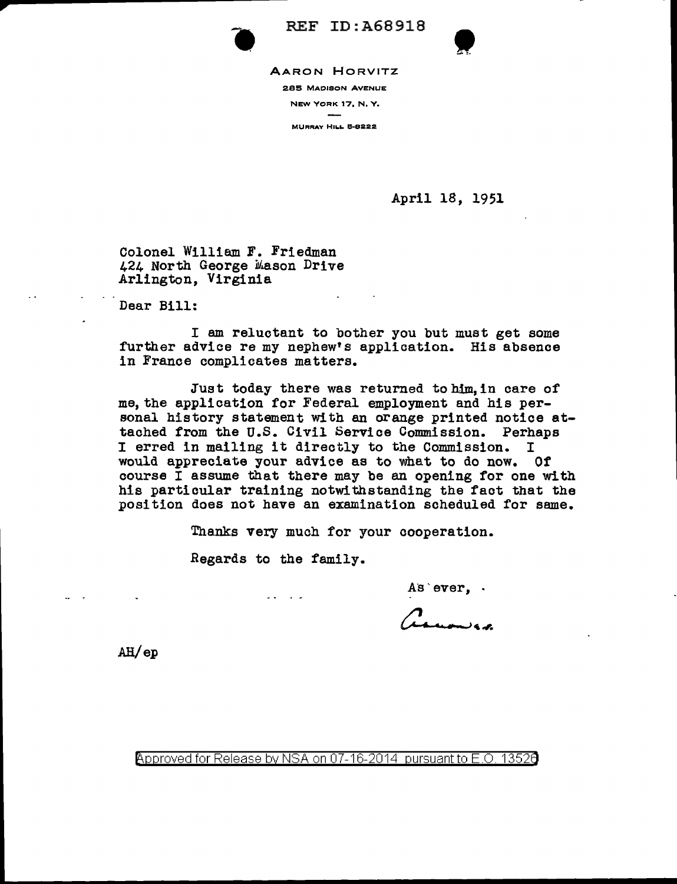

REF ID:A68918



REF ID: A68918<br>AARON HORVITZ<br><sup>285 MADISON AVENUE</sup>

NEW YORK 17, N, Y.

MURRAY HILL 5-8222

April 18, 1951

Colonel William F. Friedman 424 North George Mason Drive Arlington, Virginia

Dear Bill:

I am reluctant to bother you but must get some further advice re my nephew's application. His absence in France complicates matters.

Just today there was returned tohim,in care of me, the application for Federal employment and his personal history statement with an orange printed notice attached from the U.S. Civil Service Commission. Perhaps <sup>I</sup>erred in mailing it directly to the Commission. <sup>I</sup> would appreciate your advice as to what to do now. Of course I assume that there may be an opening for one with his particular training notwithstanding the fact that the position does not have an examination scheduled for same.

Thanks very much for your cooperation.

Regards to the family.

 $2.4 - 1.2$ 

As ever, .

n<br>Maromica

Ali/ep

Approved for Release by NSA on 07-16-2014 pursuant to E.O. 13520